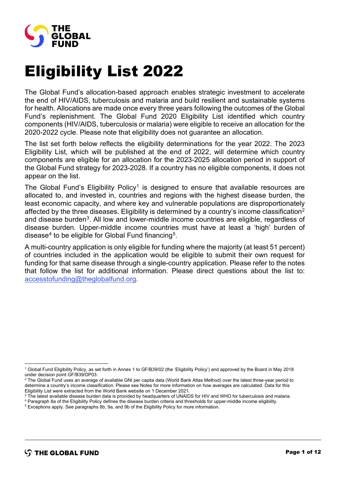

## Eligibility List 2022

The Global Fund's allocation-based approach enables strategic investment to accelerate the end of HIV/AIDS, tuberculosis and malaria and build resilient and sustainable systems for health. Allocations are made once every three years following the outcomes of the Global Fund's replenishment. The Global Fund 2020 Eligibility List identified which country components (HIV/AIDS, tuberculosis or malaria) were eligible to receive an allocation for the 2020-2022 cycle. Please note that eligibility does not guarantee an allocation.

The list set forth below reflects the eligibility determinations for the year 2022. The 2023 Eligibility List, which will be published at the end of 2022, will determine which country components are eligible for an allocation for the 2023-2025 allocation period in support of the Global Fund strategy for 2023-2028. If a country has no eligible components, it does not appear on the list.

The Global Fund's Eligibility Policy<sup>[1](#page-0-0)</sup> is designed to ensure that available resources are allocated to, and invested in, countries and regions with the highest disease burden, the least economic capacity, and where key and vulnerable populations are disproportionately affected by the three diseases. Eligibility is determined by a country's income classification<sup>[2](#page-0-1)</sup> and disease burden<sup>3</sup>. All low and lower-middle income countries are eligible, regardless of disease burden. Upper-middle income countries must have at least a 'high' burden of disease<sup>4</sup> to be eligible for Global Fund financing<sup>5</sup>.

A multi-country application is only eligible for funding where the majority (at least 51 percent) of countries included in the application would be eligible to submit their own request for funding for that same disease through a single-country application. Please refer to the notes that follow the list for additional information. Please direct questions about the list to: [accesstofunding@theglobalfund.org.](mailto:accesstofunding@theglobalfund.org)

- Eligibility List were extracted from the World Bank website on 1 December 2021.<br><sup>3</sup> The latest available disease burden data is provided by headquarters of UNAIDS for HIV and WHO for tuberculosis and malaria.
- <span id="page-0-4"></span><span id="page-0-3"></span><span id="page-0-2"></span><sup>4</sup> Paragraph 8a of the Eligibility Policy defines the disease burden criteria and thresholds for upper-middle income eligibility.<br><sup>5</sup> Exceptions apply. See paragraphs 8b, 9a, and 9b of the Eligibility Policy for more info

<span id="page-0-0"></span><sup>1</sup> Global Fund Eligibility Policy, as set forth in Annex 1 to GF/B39/02 (the 'Eligibility Policy') and approved by the Board in May 2018 under decision point GF/B39/DP03.

<span id="page-0-1"></span><sup>&</sup>lt;sup>2</sup> The Global Fund uses an average of available GNI per capita data (World Bank Atlas Method) over the latest three-year period to determine a country's income classification. Please see Notes for more information on how averages are calculated. Data for this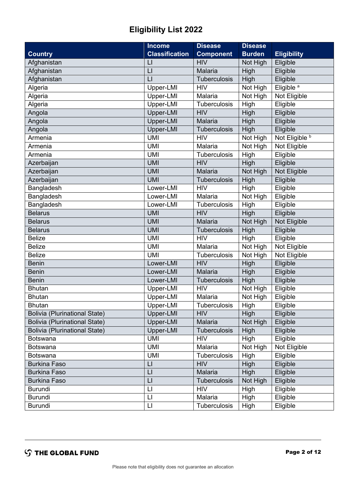## **Eligibility List 2022**

|                                      | <b>Income</b>           | <b>Disease</b>      | <b>Disease</b> |                       |
|--------------------------------------|-------------------------|---------------------|----------------|-----------------------|
| <b>Country</b>                       | <b>Classification</b>   | <b>Component</b>    | <b>Burden</b>  | <b>Eligibility</b>    |
| Afghanistan                          | $\mathsf{L}$            | <b>HIV</b>          | Not High       | Eligible              |
| Afghanistan                          | $\lfloor \rfloor$       | Malaria             | High           | Eligible              |
| Afghanistan                          | $\mathsf{L}$            | Tuberculosis        | <b>High</b>    | Eligible              |
| Algeria                              | Upper-LMI               | <b>HIV</b>          | Not High       | Eligible <sup>a</sup> |
| Algeria                              | Upper-LMI               | Malaria             | Not High       | Not Eligible          |
| Algeria                              | Upper-LMI               | Tuberculosis        | High           | Eligible              |
| Angola                               | Upper-LMI               | <b>HIV</b>          | High           | Eligible              |
| Angola                               | Upper-LMI               | <b>Malaria</b>      | High           | Eligible              |
| Angola                               | Upper-LMI               | Tuberculosis        | High           | Eligible              |
| Armenia                              | <b>UMI</b>              | <b>HIV</b>          | Not High       | Not Eligible b        |
| Armenia                              | <b>UMI</b>              | Malaria             | Not High       | Not Eligible          |
| Armenia                              | <b>UMI</b>              | Tuberculosis        | High           | Eligible              |
| Azerbaijan                           | <b>UMI</b>              | <b>HIV</b>          | High           | Eligible              |
| Azerbaijan                           | <b>UMI</b>              | <b>Malaria</b>      | Not High       | Not Eligible          |
| Azerbaijan                           | <b>UMI</b>              | Tuberculosis        | High           | Eligible              |
| Bangladesh                           | Lower-LMI               | <b>HIV</b>          | High           | Eligible              |
| Bangladesh                           | Lower-LMI               | Malaria             | Not High       | Eligible              |
| Bangladesh                           | Lower-LMI               | Tuberculosis        | High           | Eligible              |
| <b>Belarus</b>                       | <b>UMI</b>              | <b>HIV</b>          | <b>High</b>    | Eligible              |
| <b>Belarus</b>                       | <b>UMI</b>              | <b>Malaria</b>      | Not High       | Not Eligible          |
| <b>Belarus</b>                       | <b>UMI</b>              | Tuberculosis        | High           | Eligible              |
| <b>Belize</b>                        | <b>UMI</b>              | <b>HIV</b>          | High           | Eligible              |
| <b>Belize</b>                        | <b>UMI</b>              | Malaria             | Not High       | Not Eligible          |
| <b>Belize</b>                        | <b>UMI</b>              | Tuberculosis        | Not High       | Not Eligible          |
| <b>Benin</b>                         | Lower-LMI               | <b>HIV</b>          | High           | Eligible              |
| <b>Benin</b>                         | Lower-LMI               | <b>Malaria</b>      | High           | Eligible              |
| <b>Benin</b>                         | Lower-LMI               | Tuberculosis        | High           | Eligible              |
| <b>Bhutan</b>                        | Upper-LMI               | <b>HIV</b>          | Not High       | Eligible              |
| <b>Bhutan</b>                        | Upper-LMI               | Malaria             | Not High       | Eligible              |
| <b>Bhutan</b>                        | Upper-LMI               | <b>Tuberculosis</b> | High           | Eligible              |
| Bolivia (Plurinational State)        | Upper-LMI               | <b>HIV</b>          | High           | Eligible              |
| <b>Bolivia (Plurinational State)</b> | Upper-LMI               | Malaria             | Not High       | Eligible              |
| <b>Bolivia (Plurinational State)</b> | Upper-LMI               | Tuberculosis        | High           | Eligible              |
| <b>Botswana</b>                      | <b>UMI</b>              | <b>HIV</b>          | High           | Eligible              |
| <b>Botswana</b>                      | <b>UMI</b>              | Malaria             | Not High       | Not Eligible          |
| <b>Botswana</b>                      | <b>UMI</b>              | <b>Tuberculosis</b> | High           | Eligible              |
| <b>Burkina Faso</b>                  | $\lfloor \rfloor$       | <b>HIV</b>          | High           | Eligible              |
| <b>Burkina Faso</b>                  | $\lfloor$               | Malaria             | High           | Eligible              |
| <b>Burkina Faso</b>                  | $\lfloor \cdot \rfloor$ | <b>Tuberculosis</b> | Not High       | Eligible              |
| <b>Burundi</b>                       | $\lfloor \cdot \rfloor$ | <b>HIV</b>          | High           | Eligible              |
| <b>Burundi</b>                       | LI                      | Malaria             | High           | Eligible              |
| <b>Burundi</b>                       | LI                      | Tuberculosis        | High           | Eligible              |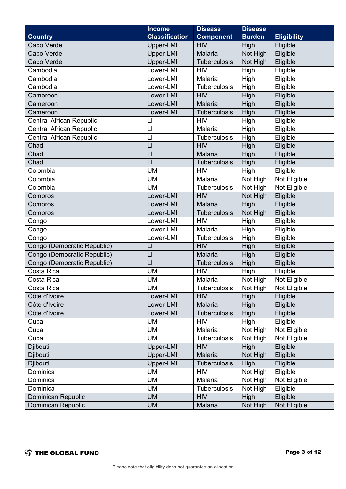|                                 | <b>Income</b>           | <b>Disease</b>      | <b>Disease</b> |                    |
|---------------------------------|-------------------------|---------------------|----------------|--------------------|
| <b>Country</b>                  | <b>Classification</b>   | <b>Component</b>    | <b>Burden</b>  | <b>Eligibility</b> |
| Cabo Verde                      | Upper-LMI               | <b>HIV</b>          | High           | Eligible           |
| Cabo Verde                      | Upper-LMI               | Malaria             | Not High       | Eligible           |
| Cabo Verde                      | Upper-LMI               | <b>Tuberculosis</b> | Not High       | Eligible           |
| Cambodia                        | Lower-LMI               | <b>HIV</b>          | High           | Eligible           |
| Cambodia                        | Lower-LMI               | Malaria             | High           | Eligible           |
| Cambodia                        | Lower-LMI               | <b>Tuberculosis</b> | High           | Eligible           |
| Cameroon                        | Lower-LMI               | <b>HIV</b>          | High           | Eligible           |
| Cameroon                        | Lower-LMI               | <b>Malaria</b>      | High           | Eligible           |
| Cameroon                        | Lower-LMI               | <b>Tuberculosis</b> | High           | Eligible           |
| <b>Central African Republic</b> | $\lfloor \rfloor$       | <b>HIV</b>          | High           | Eligible           |
| <b>Central African Republic</b> | $\mathsf{L}$            | Malaria             | High           | Eligible           |
| <b>Central African Republic</b> | $\lfloor \rfloor$       | Tuberculosis        | High           | Eligible           |
| Chad                            | $\mathsf{L}$            | <b>HIV</b>          | High           | Eligible           |
| Chad                            | $\lfloor \cdot \rfloor$ | Malaria             | High           | Eligible           |
| Chad                            | $\lfloor$               | Tuberculosis        | High           | Eligible           |
| Colombia                        | <b>UMI</b>              | <b>HIV</b>          | High           | Eligible           |
| Colombia                        | <b>UMI</b>              | Malaria             | Not High       | Not Eligible       |
| Colombia                        | <b>UMI</b>              | Tuberculosis        | Not High       | Not Eligible       |
| Comoros                         | Lower-LMI               | <b>HIV</b>          | Not High       | Eligible           |
| Comoros                         | Lower-LMI               | Malaria             | High           | Eligible           |
| Comoros                         | Lower-LMI               | Tuberculosis        | Not High       | Eligible           |
| Congo                           | Lower-LMI               | <b>HIV</b>          | High           | Eligible           |
| Congo                           | Lower-LMI               | Malaria             | High           | Eligible           |
| Congo                           | Lower-LMI               | Tuberculosis        | High           | Eligible           |
| Congo (Democratic Republic)     | $\lfloor \cdot \rfloor$ | <b>HIV</b>          | High           | Eligible           |
| Congo (Democratic Republic)     | LI                      | Malaria             | High           | Eligible           |
| Congo (Democratic Republic)     | $\mathsf{L}$            | <b>Tuberculosis</b> | High           | Eligible           |
| Costa Rica                      | <b>UMI</b>              | <b>HIV</b>          | High           | Eligible           |
| Costa Rica                      | <b>UMI</b>              | Malaria             | Not High       | Not Eligible       |
| Costa Rica                      | <b>UMI</b>              | <b>Tuberculosis</b> | Not High       | Not Eligible       |
| Côte d'Ivoire                   | Lower-LMI               | <b>HIV</b>          | High           | Eligible           |
| Côte d'Ivoire                   | Lower-LMI               | Malaria             | High           | Eligible           |
| Côte d'Ivoire                   | Lower-LMI               | Tuberculosis        | High           | Eligible           |
| Cuba                            | <b>UMI</b>              | <b>HIV</b>          | High           | Eligible           |
| Cuba                            | <b>UMI</b>              | Malaria             | Not High       | Not Eligible       |
| Cuba                            | <b>UMI</b>              | Tuberculosis        | Not High       | Not Eligible       |
| Djibouti                        | Upper-LMI               | <b>HIV</b>          | High           | Eligible           |
| Djibouti                        | Upper-LMI               | Malaria             | Not High       | Eligible           |
| Djibouti                        | Upper-LMI               | <b>Tuberculosis</b> | High           | Eligible           |
| Dominica                        | <b>UMI</b>              | <b>HIV</b>          | Not High       | Eligible           |
| Dominica                        | <b>UMI</b>              | Malaria             | Not High       | Not Eligible       |
| Dominica                        | <b>UMI</b>              | Tuberculosis        | Not High       | Eligible           |
| Dominican Republic              | <b>UMI</b>              | <b>HIV</b>          | High           | Eligible           |
| Dominican Republic              | <b>UMI</b>              | Malaria             | Not High       | Not Eligible       |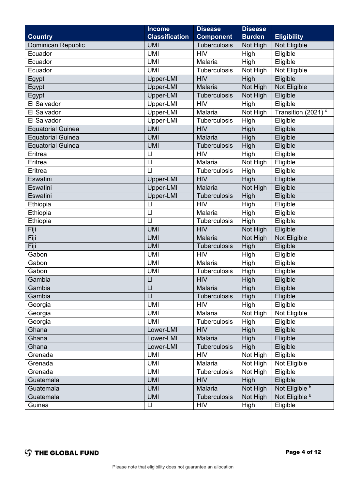|                           | <b>Income</b>           | <b>Disease</b>      | <b>Disease</b> |                                |
|---------------------------|-------------------------|---------------------|----------------|--------------------------------|
| <b>Country</b>            | <b>Classification</b>   | <b>Component</b>    | <b>Burden</b>  | <b>Eligibility</b>             |
| <b>Dominican Republic</b> | <b>UMI</b>              | Tuberculosis        | Not High       | Not Eligible                   |
| Ecuador                   | <b>UMI</b>              | <b>HIV</b>          | High           | Eligible                       |
| Ecuador                   | <b>UMI</b>              | Malaria             | High           | Eligible                       |
| Ecuador                   | <b>UMI</b>              | Tuberculosis        | Not High       | Not Eligible                   |
| Egypt                     | Upper-LMI               | <b>HIV</b>          | High           | Eligible                       |
| Egypt                     | Upper-LMI               | Malaria             | Not High       | Not Eligible                   |
| Egypt                     | Upper-LMI               | Tuberculosis        | Not High       | Eligible                       |
| El Salvador               | Upper-LMI               | <b>HIV</b>          | High           | Eligible                       |
| El Salvador               | Upper-LMI               | Malaria             | Not High       | Transition (2021) <sup>c</sup> |
| El Salvador               | Upper-LMI               | <b>Tuberculosis</b> | High           | Eligible                       |
| <b>Equatorial Guinea</b>  | <b>UMI</b>              | <b>HIV</b>          | High           | Eligible                       |
| <b>Equatorial Guinea</b>  | <b>UMI</b>              | <b>Malaria</b>      | High           | Eligible                       |
| <b>Equatorial Guinea</b>  | <b>UMI</b>              | Tuberculosis        | High           | Eligible                       |
| Eritrea                   | $\sqcup$                | <b>HIV</b>          | High           | Eligible                       |
| Eritrea                   | $\mathsf{L}$            | Malaria             | Not High       | Eligible                       |
| Eritrea                   | $\mathsf{L}$            | Tuberculosis        | High           | Eligible                       |
| Eswatini                  | Upper-LMI               | <b>HIV</b>          | High           | Eligible                       |
| Eswatini                  | Upper-LMI               | <b>Malaria</b>      | Not High       | Eligible                       |
| Eswatini                  | Upper-LMI               | Tuberculosis        | High           | Eligible                       |
| Ethiopia                  | $\mathsf{L}$            | <b>HIV</b>          | High           | Eligible                       |
| Ethiopia                  | $\lfloor$               | Malaria             | High           | Eligible                       |
| Ethiopia                  | $\lfloor \cdot \rfloor$ | <b>Tuberculosis</b> | High           | Eligible                       |
| Fiji                      | <b>UMI</b>              | <b>HIV</b>          | Not High       | Eligible                       |
| Fiji                      | <b>UMI</b>              | <b>Malaria</b>      | Not High       | Not Eligible                   |
| Fiji                      | <b>UMI</b>              | Tuberculosis        | High           | Eligible                       |
| Gabon                     | <b>UMI</b>              | <b>HIV</b>          | High           | Eligible                       |
| Gabon                     | <b>UMI</b>              | Malaria             | High           | Eligible                       |
| Gabon                     | <b>UMI</b>              | Tuberculosis        | High           | Eligible                       |
| Gambia                    | $\mathsf{L}$            | <b>HIV</b>          | High           | Eligible                       |
| Gambia                    | $\lfloor$               | Malaria             | High           | Eligible                       |
| Gambia                    | LI                      | <b>Tuberculosis</b> | High           | Eligible                       |
| Georgia                   | <b>UMI</b>              | <b>HIV</b>          | High           | Eligible                       |
| Georgia                   | <b>UMI</b>              | Malaria             | Not High       | Not Eligible                   |
| Georgia                   | <b>UMI</b>              | <b>Tuberculosis</b> | High           | Eligible                       |
| Ghana                     | Lower-LMI               | <b>HIV</b>          | High           | Eligible                       |
| Ghana                     | Lower-LMI               | Malaria             | High           | Eligible                       |
| Ghana                     | Lower-LMI               | <b>Tuberculosis</b> | High           | Eligible                       |
| Grenada                   | <b>UMI</b>              | <b>HIV</b>          | Not High       | Eligible                       |
| Grenada                   | <b>UMI</b>              | Malaria             | Not High       | Not Eligible                   |
| Grenada                   | <b>UMI</b>              | <b>Tuberculosis</b> | Not High       | Eligible                       |
| Guatemala                 | <b>UMI</b>              | <b>HIV</b>          | High           | Eligible                       |
| Guatemala                 | <b>UMI</b>              | Malaria             | Not High       | Not Eligible b                 |
| Guatemala                 | <b>UMI</b>              | Tuberculosis        | Not High       | Not Eligible b                 |
| Guinea                    | $\lfloor \rfloor$       | <b>HIV</b>          | High           | Eligible                       |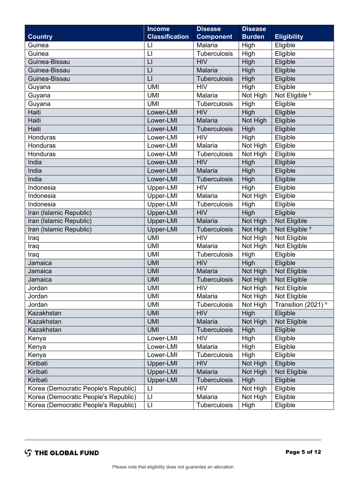|                                      | <b>Income</b>           | <b>Disease</b>      | <b>Disease</b> |                                |
|--------------------------------------|-------------------------|---------------------|----------------|--------------------------------|
| <b>Country</b>                       | <b>Classification</b>   | <b>Component</b>    | <b>Burden</b>  | <b>Eligibility</b>             |
| Guinea                               | $\lfloor \rfloor$       | Malaria             | High           | Eligible                       |
| Guinea                               | $\lfloor \rfloor$       | Tuberculosis        | High           | Eligible                       |
| Guinea-Bissau                        | $\lfloor$               | <b>HIV</b>          | High           | Eligible                       |
| Guinea-Bissau                        | $\lfloor$               | Malaria             | High           | Eligible                       |
| Guinea-Bissau                        | $\lfloor$               | Tuberculosis        | High           | Eligible                       |
| Guyana                               | <b>UMI</b>              | <b>HIV</b>          | High           | Eligible                       |
| Guyana                               | <b>UMI</b>              | Malaria             | Not High       | Not Eligible <sup>b</sup>      |
| Guyana                               | <b>UMI</b>              | Tuberculosis        | High           | Eligible                       |
| Haiti                                | Lower-LMI               | <b>HIV</b>          | High           | Eligible                       |
| Haiti                                | Lower-LMI               | <b>Malaria</b>      | Not High       | Eligible                       |
| Haiti                                | Lower-LMI               | Tuberculosis        | <b>High</b>    | Eligible                       |
| Honduras                             | Lower-LMI               | <b>HIV</b>          | High           | Eligible                       |
| Honduras                             | Lower-LMI               | Malaria             | Not High       | Eligible                       |
| Honduras                             | Lower-LMI               | Tuberculosis        | Not High       | Eligible                       |
| India                                | Lower-LMI               | <b>HIV</b>          | High           | Eligible                       |
| India                                | Lower-LMI               | Malaria             | High           | Eligible                       |
| India                                | Lower-LMI               | <b>Tuberculosis</b> | High           | Eligible                       |
| Indonesia                            | Upper-LMI               | <b>HIV</b>          | High           | Eligible                       |
| Indonesia                            | Upper-LMI               | Malaria             | Not High       | Eligible                       |
| Indonesia                            | Upper-LMI               | Tuberculosis        | High           | Eligible                       |
| Iran (Islamic Republic)              | Upper-LMI               | <b>HIV</b>          | High           | Eligible                       |
| Iran (Islamic Republic)              | Upper-LMI               | <b>Malaria</b>      | Not High       | Not Eligible                   |
| Iran (Islamic Republic)              | Upper-LMI               | Tuberculosis        | Not High       | Not Eligible <sup>d</sup>      |
| Iraq                                 | <b>UMI</b>              | <b>HIV</b>          | Not High       | Not Eligible                   |
| Iraq                                 | <b>UMI</b>              | Malaria             | Not High       | Not Eligible                   |
| Iraq                                 | <b>UMI</b>              | Tuberculosis        | High           | Eligible                       |
| Jamaica                              | <b>UMI</b>              | <b>HIV</b>          | High           | Eligible                       |
| Jamaica                              | <b>UMI</b>              | <b>Malaria</b>      | Not High       | Not Eligible                   |
| Jamaica                              | <b>UMI</b>              | <b>Tuberculosis</b> | Not High       | Not Eligible                   |
| Jordan                               | UMI                     | HIV                 | Not High       | Not Eligible                   |
| Jordan                               | <b>UMI</b>              | Malaria             | Not High       | Not Eligible                   |
| Jordan                               | <b>UMI</b>              | Tuberculosis        | Not High       | Transition (2021) <sup>e</sup> |
| Kazakhstan                           | <b>UMI</b>              | <b>HIV</b>          | High           | Eligible                       |
| Kazakhstan                           | <b>UMI</b>              | Malaria             | Not High       | Not Eligible                   |
| Kazakhstan                           | <b>UMI</b>              | <b>Tuberculosis</b> | High           | Eligible                       |
| Kenya                                | Lower-LMI               | <b>HIV</b>          | High           | Eligible                       |
| Kenya                                | Lower-LMI               | Malaria             | High           | Eligible                       |
| Kenya                                | Lower-LMI               | Tuberculosis        | High           | Eligible                       |
| Kiribati                             | Upper-LMI               | <b>HIV</b>          | Not High       | Eligible                       |
| Kiribati                             | Upper-LMI               | Malaria             | Not High       | Not Eligible                   |
| Kiribati                             | Upper-LMI               | <b>Tuberculosis</b> | High           | Eligible                       |
| Korea (Democratic People's Republic) | $\lfloor \rfloor$       | <b>HIV</b>          | Not High       | Eligible                       |
| Korea (Democratic People's Republic) | $\lfloor \cdot \rfloor$ | Malaria             | Not High       | Eligible                       |
| Korea (Democratic People's Republic) | LI                      | Tuberculosis        | High           | Eligible                       |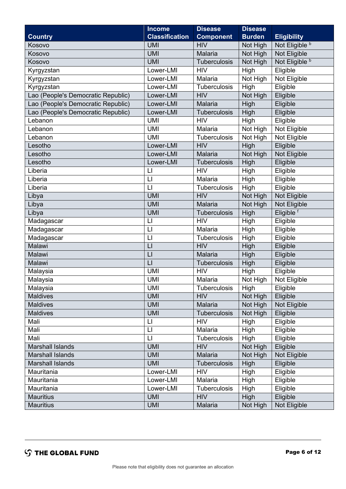|                                    | <b>Income</b>           | <b>Disease</b>      | <b>Disease</b> |                           |
|------------------------------------|-------------------------|---------------------|----------------|---------------------------|
| <b>Country</b>                     | <b>Classification</b>   | <b>Component</b>    | <b>Burden</b>  | <b>Eligibility</b>        |
| Kosovo                             | <b>UMI</b>              | <b>HIV</b>          | Not High       | Not Eligible <sup>b</sup> |
| Kosovo                             | <b>UMI</b>              | Malaria             | Not High       | Not Eligible              |
| Kosovo                             | <b>UMI</b>              | Tuberculosis        | Not High       | Not Eligible b            |
| Kyrgyzstan                         | Lower-LMI               | <b>HIV</b>          | High           | Eligible                  |
| Kyrgyzstan                         | Lower-LMI               | Malaria             | Not High       | Not Eligible              |
| Kyrgyzstan                         | Lower-LMI               | Tuberculosis        | High           | Eligible                  |
| Lao (People's Democratic Republic) | Lower-LMI               | <b>HIV</b>          | Not High       | Eligible                  |
| Lao (People's Democratic Republic) | Lower-LMI               | Malaria             | High           | Eligible                  |
| Lao (People's Democratic Republic) | Lower-LMI               | <b>Tuberculosis</b> | High           | Eligible                  |
| Lebanon                            | <b>UMI</b>              | <b>HIV</b>          | High           | Eligible                  |
| Lebanon                            | <b>UMI</b>              | Malaria             | Not High       | Not Eligible              |
| Lebanon                            | <b>UMI</b>              | Tuberculosis        | Not High       | Not Eligible              |
| Lesotho                            | Lower-LMI               | <b>HIV</b>          | High           | Eligible                  |
| Lesotho                            | Lower-LMI               | Malaria             | Not High       | Not Eligible              |
| Lesotho                            | Lower-LMI               | Tuberculosis        | High           | Eligible                  |
| Liberia                            | $\lfloor \cdot \rfloor$ | <b>HIV</b>          | High           | Eligible                  |
| Liberia                            | $\lfloor \rfloor$       | Malaria             | High           | Eligible                  |
| Liberia                            | $\mathsf{L}$            | Tuberculosis        | High           | Eligible                  |
| Libya                              | <b>UMI</b>              | <b>HIV</b>          | Not High       | Not Eligible              |
| Libya                              | <b>UMI</b>              | Malaria             | Not High       | Not Eligible              |
| Libya                              | <b>UMI</b>              | Tuberculosis        | High           | Eligible <sup>f</sup>     |
| Madagascar                         | $\lfloor \rfloor$       | <b>HIV</b>          | High           | Eligible                  |
| Madagascar                         | $\mathsf{L}$            | Malaria             | High           | Eligible                  |
| Madagascar                         | $\mathsf{L}$            | Tuberculosis        | High           | Eligible                  |
| Malawi                             | $\lfloor \cdot \rfloor$ | <b>HIV</b>          | High           | Eligible                  |
| Malawi                             | $\mathsf{L}$            | Malaria             | High           | Eligible                  |
| Malawi                             | LI                      | <b>Tuberculosis</b> | High           | Eligible                  |
| Malaysia                           | <b>UMI</b>              | <b>HIV</b>          | High           | Eligible                  |
| Malaysia                           | <b>UMI</b>              | Malaria             | Not High       | Not Eligible              |
| Malaysia                           | <b>UMI</b>              | <b>Tuberculosis</b> | High           | Eligible                  |
| <b>Maldives</b>                    | <b>UMI</b>              | <b>HIV</b>          | Not High       | Eligible                  |
| <b>Maldives</b>                    | <b>UMI</b>              | Malaria             | Not High       | Not Eligible              |
| Maldives                           | <b>UMI</b>              | Tuberculosis        | Not High       | Eligible                  |
| Mali                               | LI                      | <b>HIV</b>          | High           | Eligible                  |
| Mali                               | $\lfloor \rfloor$       | Malaria             | High           | Eligible                  |
| Mali                               | $\lfloor \rfloor$       | Tuberculosis        | High           | Eligible                  |
| <b>Marshall Islands</b>            | <b>UMI</b>              | <b>HIV</b>          | Not High       | Eligible                  |
| <b>Marshall Islands</b>            | <b>UMI</b>              | Malaria             | Not High       | Not Eligible              |
| <b>Marshall Islands</b>            | <b>UMI</b>              | <b>Tuberculosis</b> | High           | Eligible                  |
| Mauritania                         | Lower-LMI               | <b>HIV</b>          | High           | Eligible                  |
| Mauritania                         | Lower-LMI               | Malaria             | High           | Eligible                  |
| Mauritania                         | Lower-LMI               | Tuberculosis        | High           | Eligible                  |
| <b>Mauritius</b>                   | <b>UMI</b>              | <b>HIV</b>          | High           | Eligible                  |
| <b>Mauritius</b>                   | <b>UMI</b>              | Malaria             | Not High       | Not Eligible              |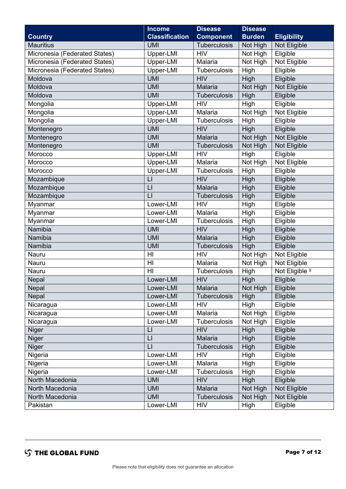|                               | <b>Income</b>           | <b>Disease</b>      | <b>Disease</b> |                           |
|-------------------------------|-------------------------|---------------------|----------------|---------------------------|
| <b>Country</b>                | <b>Classification</b>   | <b>Component</b>    | <b>Burden</b>  | <b>Eligibility</b>        |
| <b>Mauritius</b>              | <b>UMI</b>              | <b>Tuberculosis</b> | Not High       | Not Eligible              |
| Micronesia (Federated States) | Upper-LMI               | <b>HIV</b>          | Not High       | Eligible                  |
| Micronesia (Federated States) | Upper-LMI               | Malaria             | Not High       | Not Eligible              |
| Micronesia (Federated States) | Upper-LMI               | Tuberculosis        | High           | Eligible                  |
| Moldova                       | <b>UMI</b>              | <b>HIV</b>          | High           | Eligible                  |
| Moldova                       | <b>UMI</b>              | Malaria             | Not High       | Not Eligible              |
| Moldova                       | <b>UMI</b>              | <b>Tuberculosis</b> | High           | Eligible                  |
| Mongolia                      | Upper-LMI               | <b>HIV</b>          | High           | Eligible                  |
| Mongolia                      | Upper-LMI               | Malaria             | Not High       | Not Eligible              |
| Mongolia                      | Upper-LMI               | <b>Tuberculosis</b> | High           | Eligible                  |
| Montenegro                    | <b>UMI</b>              | <b>HIV</b>          | High           | Eligible                  |
| Montenegro                    | <b>UMI</b>              | <b>Malaria</b>      | Not High       | Not Eligible              |
| Montenegro                    | <b>UMI</b>              | <b>Tuberculosis</b> | Not High       | Not Eligible              |
| Morocco                       | Upper-LMI               | <b>HIV</b>          | High           | Eligible                  |
| Morocco                       | Upper-LMI               | Malaria             | Not High       | Not Eligible              |
| Morocco                       | Upper-LMI               | Tuberculosis        | High           | Eligible                  |
| Mozambique                    | $\lfloor$               | <b>HIV</b>          | High           | Eligible                  |
| Mozambique                    | $\mathsf{L}$            | Malaria             | High           | Eligible                  |
| Mozambique                    | $\lfloor$               | Tuberculosis        | High           | Eligible                  |
| Myanmar                       | Lower-LMI               | <b>HIV</b>          | High           | Eligible                  |
| Myanmar                       | Lower-LMI               | Malaria             | High           | Eligible                  |
| Myanmar                       | Lower-LMI               | <b>Tuberculosis</b> | High           | Eligible                  |
| Namibia                       | <b>UMI</b>              | <b>HIV</b>          | High           | Eligible                  |
| Namibia                       | <b>UMI</b>              | Malaria             | High           | Eligible                  |
| Namibia                       | <b>UMI</b>              | Tuberculosis        | High           | Eligible                  |
| Nauru                         | H <sub>l</sub>          | <b>HIV</b>          | Not High       | Not Eligible              |
| Nauru                         | H <sub>l</sub>          | Malaria             | Not High       | Not Eligible              |
| Nauru                         | H <sub>l</sub>          | Tuberculosis        | High           | Not Eligible <sup>9</sup> |
| Nepal                         | Lower-LMI               | <b>HIV</b>          | High           | Eligible                  |
| Nepal                         | Lower-LMI               | Malaria             | Not High       | Eligible                  |
| Nepal                         | Lower-LMI               | <b>Tuberculosis</b> | High           | Eligible                  |
| Nicaragua                     | Lower-LMI               | <b>HIV</b>          | High           | Eligible                  |
| Nicaragua                     | Lower-LMI               | Malaria             | Not High       | Eligible                  |
| Nicaragua                     | Lower-LMI               | <b>Tuberculosis</b> | Not High       | Eligible                  |
| Niger                         | $\lfloor \rfloor$       | <b>HIV</b>          | High           | Eligible                  |
| Niger                         | $\lfloor$               | Malaria             | High           | Eligible                  |
| Niger                         | $\lfloor \cdot \rfloor$ | <b>Tuberculosis</b> | High           | Eligible                  |
| Nigeria                       | Lower-LMI               | <b>HIV</b>          | High           | Eligible                  |
| Nigeria                       | Lower-LMI               | Malaria             | High           | Eligible                  |
| Nigeria                       | Lower-LMI               | Tuberculosis        | High           | Eligible                  |
| North Macedonia               | <b>UMI</b>              | <b>HIV</b>          | High           | Eligible                  |
| North Macedonia               | <b>UMI</b>              | Malaria             | Not High       | Not Eligible              |
| North Macedonia               | <b>UMI</b>              | <b>Tuberculosis</b> | Not High       | Not Eligible              |
| Pakistan                      | Lower-LMI               | <b>HIV</b>          | High           | Eligible                  |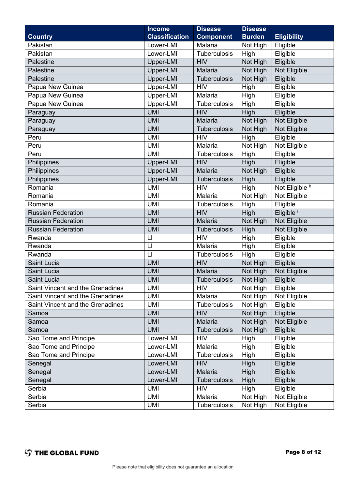|                                  | <b>Income</b>         | <b>Disease</b>      | <b>Disease</b> |                       |
|----------------------------------|-----------------------|---------------------|----------------|-----------------------|
| <b>Country</b>                   | <b>Classification</b> | <b>Component</b>    | <b>Burden</b>  | <b>Eligibility</b>    |
| Pakistan                         | Lower-LMI             | Malaria             | Not High       | Eligible              |
| Pakistan                         | Lower-LMI             | Tuberculosis        | High           | Eligible              |
| Palestine                        | Upper-LMI             | <b>HIV</b>          | Not High       | Eligible              |
| Palestine                        | Upper-LMI             | Malaria             | Not High       | Not Eligible          |
| Palestine                        | Upper-LMI             | Tuberculosis        | Not High       | Eligible              |
| Papua New Guinea                 | Upper-LMI             | <b>HIV</b>          | High           | Eligible              |
| Papua New Guinea                 | Upper-LMI             | Malaria             | High           | Eligible              |
| Papua New Guinea                 | Upper-LMI             | Tuberculosis        | High           | Eligible              |
| Paraguay                         | <b>UMI</b>            | <b>HIV</b>          | High           | Eligible              |
| Paraguay                         | <b>UMI</b>            | Malaria             | Not High       | Not Eligible          |
| Paraguay                         | <b>UMI</b>            | Tuberculosis        | Not High       | Not Eligible          |
| Peru                             | <b>UMI</b>            | <b>HIV</b>          | High           | Eligible              |
| Peru                             | <b>UMI</b>            | Malaria             | Not High       | Not Eligible          |
| Peru                             | <b>UMI</b>            | Tuberculosis        | High           | Eligible              |
| Philippines                      | Upper-LMI             | <b>HIV</b>          | High           | Eligible              |
| Philippines                      | Upper-LMI             | Malaria             | Not High       | Eligible              |
| Philippines                      | Upper-LMI             | <b>Tuberculosis</b> | High           | Eligible              |
| Romania                          | <b>UMI</b>            | <b>HIV</b>          | High           | Not Eligible h        |
| Romania                          | <b>UMI</b>            | Malaria             | Not High       | Not Eligible          |
| Romania                          | <b>UMI</b>            | Tuberculosis        | High           | Eligible              |
| <b>Russian Federation</b>        | <b>UMI</b>            | <b>HIV</b>          | High           | Eligible <sup>i</sup> |
| <b>Russian Federation</b>        | <b>UMI</b>            | Malaria             | Not High       | Not Eligible          |
| Russian Federation               | <b>UMI</b>            | Tuberculosis        | High           | Not Eligible          |
| Rwanda                           | $\mathsf{L}$          | <b>HIV</b>          | High           | Eligible              |
| Rwanda                           | $\lfloor \rfloor$     | Malaria             | High           | Eligible              |
| Rwanda                           | $\mathsf{L}$          | Tuberculosis        | High           | Eligible              |
| Saint Lucia                      | <b>UMI</b>            | <b>HIV</b>          | Not High       | Eligible              |
| Saint Lucia                      | <b>UMI</b>            | Malaria             | Not High       | Not Eligible          |
| Saint Lucia                      | <b>UMI</b>            | Tuberculosis        | Not High       | Eligible              |
| Saint Vincent and the Grenadines | <b>UMI</b>            | <b>HIV</b>          | Not High       | Eligible              |
| Saint Vincent and the Grenadines | <b>UMI</b>            | Malaria             | Not High       | Not Eligible          |
| Saint Vincent and the Grenadines | <b>UMI</b>            | Tuberculosis        | Not High       | Eligible              |
| Samoa                            | <b>UMI</b>            | <b>HIV</b>          | Not High       | Eligible              |
| Samoa                            | <b>UMI</b>            | Malaria             | Not High       | Not Eligible          |
| Samoa                            | <b>UMI</b>            | <b>Tuberculosis</b> | Not High       | Eligible              |
| Sao Tome and Principe            | Lower-LMI             | <b>HIV</b>          | High           | Eligible              |
| Sao Tome and Principe            | Lower-LMI             | Malaria             | High           | Eligible              |
| Sao Tome and Principe            | Lower-LMI             | Tuberculosis        | High           | Eligible              |
| Senegal                          | Lower-LMI             | <b>HIV</b>          | High           | Eligible              |
| Senegal                          | Lower-LMI             | Malaria             | High           | Eligible              |
| Senegal                          | Lower-LMI             | <b>Tuberculosis</b> | High           | Eligible              |
| Serbia                           | <b>UMI</b>            | <b>HIV</b>          | High           | Eligible              |
| Serbia                           | <b>UMI</b>            | Malaria             | Not High       | Not Eligible          |
| Serbia                           | <b>UMI</b>            | <b>Tuberculosis</b> | Not High       | Not Eligible          |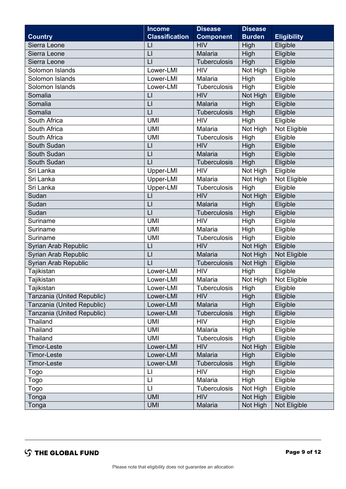|                            | <b>Income</b>           | <b>Disease</b>      | <b>Disease</b> |                    |
|----------------------------|-------------------------|---------------------|----------------|--------------------|
| <b>Country</b>             | <b>Classification</b>   | <b>Component</b>    | <b>Burden</b>  | <b>Eligibility</b> |
| Sierra Leone               | $\lfloor$               | <b>HIV</b>          | High           | Eligible           |
| Sierra Leone               | $\lfloor$               | Malaria             | High           | Eligible           |
| Sierra Leone               | $\lfloor$               | <b>Tuberculosis</b> | High           | Eligible           |
| Solomon Islands            | Lower-LMI               | <b>HIV</b>          | Not High       | Eligible           |
| Solomon Islands            | Lower-LMI               | Malaria             | High           | Eligible           |
| Solomon Islands            | Lower-LMI               | Tuberculosis        | High           | Eligible           |
| Somalia                    | $\lfloor \rfloor$       | <b>HIV</b>          | Not High       | Eligible           |
| Somalia                    | $\lfloor$               | <b>Malaria</b>      | High           | Eligible           |
| Somalia                    | $\mathsf{L}$            | Tuberculosis        | High           | Eligible           |
| South Africa               | <b>UMI</b>              | <b>HIV</b>          | High           | Eligible           |
| South Africa               | <b>UMI</b>              | Malaria             | Not High       | Not Eligible       |
| South Africa               | <b>UMI</b>              | <b>Tuberculosis</b> | High           | Eligible           |
| South Sudan                | $\lfloor$               | <b>HIV</b>          | High           | Eligible           |
| South Sudan                | LI                      | Malaria             | High           | Eligible           |
| South Sudan                | L1                      | <b>Tuberculosis</b> | High           | Eligible           |
| Sri Lanka                  | Upper-LMI               | <b>HIV</b>          | Not High       | Eligible           |
| Sri Lanka                  | Upper-LMI               | Malaria             | Not High       | Not Eligible       |
| Sri Lanka                  | Upper-LMI               | Tuberculosis        | High           | Eligible           |
| Sudan                      | $\lfloor \cdot \rfloor$ | <b>HIV</b>          | Not High       | Eligible           |
| Sudan                      | $\lfloor$               | Malaria             | High           | Eligible           |
| Sudan                      | L1                      | Tuberculosis        | High           | Eligible           |
| Suriname                   | <b>UMI</b>              | <b>HIV</b>          | High           | Eligible           |
| Suriname                   | <b>UMI</b>              | Malaria             | High           | Eligible           |
| Suriname                   | <b>UMI</b>              | <b>Tuberculosis</b> | High           | Eligible           |
| Syrian Arab Republic       | $\lfloor$               | <b>HIV</b>          | Not High       | Eligible           |
| Syrian Arab Republic       | LI                      | Malaria             | Not High       | Not Eligible       |
| Syrian Arab Republic       | L1                      | Tuberculosis        | Not High       | Eligible           |
| Tajikistan                 | Lower-LMI               | <b>HIV</b>          | High           | Eligible           |
| Tajikistan                 | Lower-LMI               | Malaria             | Not High       | Not Eligible       |
| Tajikistan                 | Lower-LMI               | Tuberculosis        | High           | Eligible           |
| Tanzania (United Republic) | Lower-LMI               | <b>HIV</b>          | High           | Eligible           |
| Tanzania (United Republic) | Lower-LMI               | Malaria             | High           | Eligible           |
| Tanzania (United Republic) | Lower-LMI               | Tuberculosis        | High           | Eligible           |
| Thailand                   | <b>UMI</b>              | <b>HIV</b>          | High           | Eligible           |
| Thailand                   | UMI                     | Malaria             | High           | Eligible           |
| Thailand                   | <b>UMI</b>              | Tuberculosis        | High           | Eligible           |
| <b>Timor-Leste</b>         | Lower-LMI               | <b>HIV</b>          | Not High       | Eligible           |
| <b>Timor-Leste</b>         | Lower-LMI               | Malaria             | High           | Eligible           |
| <b>Timor-Leste</b>         | Lower-LMI               | <b>Tuberculosis</b> | High           | Eligible           |
| Togo                       | $\mathsf{L}$            | <b>HIV</b>          | High           | Eligible           |
| Togo                       | $\mathsf{L}$            | Malaria             | High           | Eligible           |
| Togo                       | $\lfloor \rfloor$       | Tuberculosis        | Not High       | Eligible           |
| Tonga                      | <b>UMI</b>              | <b>HIV</b>          | Not High       | Eligible           |
| Tonga                      | <b>UMI</b>              | Malaria             | Not High       | Not Eligible       |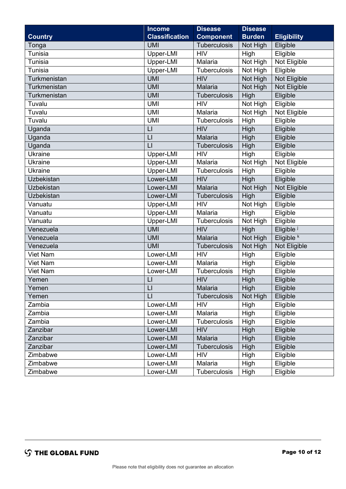|                 | <b>Income</b>           | <b>Disease</b>      | <b>Disease</b> |                       |
|-----------------|-------------------------|---------------------|----------------|-----------------------|
| <b>Country</b>  | <b>Classification</b>   | <b>Component</b>    | <b>Burden</b>  | <b>Eligibility</b>    |
| Tonga           | <b>UMI</b>              | Tuberculosis        | Not High       | Eligible              |
| <b>Tunisia</b>  | Upper-LMI               | <b>HIV</b>          | High           | Eligible              |
| Tunisia         | Upper-LMI               | Malaria             | Not High       | Not Eligible          |
| <b>Tunisia</b>  | Upper-LMI               | Tuberculosis        | Not High       | Eligible              |
| Turkmenistan    | <b>UMI</b>              | <b>HIV</b>          | Not High       | Not Eligible          |
| Turkmenistan    | <b>UMI</b>              | Malaria             | Not High       | Not Eligible          |
| Turkmenistan    | <b>UMI</b>              | <b>Tuberculosis</b> | High           | Eligible              |
| Tuvalu          | <b>UMI</b>              | <b>HIV</b>          | Not High       | Eligible              |
| Tuvalu          | <b>UMI</b>              | Malaria             | Not High       | Not Eligible          |
| Tuvalu          | <b>UMI</b>              | Tuberculosis        | High           | Eligible              |
| Uganda          | $\mathsf{L}$            | <b>HIV</b>          | High           | Eligible              |
| Uganda          | LI                      | Malaria             | High           | Eligible              |
| Uganda          | $\mathsf{L}$            | Tuberculosis        | High           | Eligible              |
| <b>Ukraine</b>  | Upper-LMI               | <b>HIV</b>          | High           | Eligible              |
| <b>Ukraine</b>  | Upper-LMI               | Malaria             | Not High       | Not Eligible          |
| Ukraine         | Upper-LMI               | Tuberculosis        | High           | Eligible              |
| Uzbekistan      | Lower-LMI               | <b>HIV</b>          | High           | Eligible              |
| Uzbekistan      | Lower-LMI               | Malaria             | Not High       | Not Eligible          |
| Uzbekistan      | Lower-LMI               | <b>Tuberculosis</b> | High           | Eligible              |
| Vanuatu         | Upper-LMI               | <b>HIV</b>          | Not High       | Eligible              |
| Vanuatu         | Upper-LMI               | Malaria             | High           | Eligible              |
| Vanuatu         | Upper-LMI               | <b>Tuberculosis</b> | Not High       | Eligible              |
| Venezuela       | <b>UMI</b>              | <b>HIV</b>          | High           | Eligible <sup>j</sup> |
| Venezuela       | <b>UMI</b>              | Malaria             | Not High       | Eligible <sup>k</sup> |
| Venezuela       | <b>UMI</b>              | Tuberculosis        | Not High       | Not Eligible          |
| <b>Viet Nam</b> | Lower-LMI               | <b>HIV</b>          | High           | Eligible              |
| Viet Nam        | Lower-LMI               | Malaria             | High           | Eligible              |
| Viet Nam        | Lower-LMI               | Tuberculosis        | High           | Eligible              |
| Yemen           | $\lfloor \rfloor$       | <b>HIV</b>          | High           | Eligible              |
| Yemen           | $\lfloor \cdot \rfloor$ | <b>Malaria</b>      | High           | Eligible              |
| Yemen           | $\mathsf{L}$            | <b>Tuberculosis</b> | Not High       | Eligible              |
| Zambia          | Lower-LMI               | <b>HIV</b>          | High           | Eligible              |
| Zambia          | Lower-LMI               | Malaria             | High           | Eligible              |
| Zambia          | Lower-LMI               | <b>Tuberculosis</b> | High           | Eligible              |
| Zanzibar        | Lower-LMI               | <b>HIV</b>          | High           | Eligible              |
| Zanzibar        | Lower-LMI               | Malaria             | High           | Eligible              |
| Zanzibar        | Lower-LMI               | <b>Tuberculosis</b> | High           | Eligible              |
| Zimbabwe        | Lower-LMI               | <b>HIV</b>          | High           | Eligible              |
| Zimbabwe        | Lower-LMI               | Malaria             | High           | Eligible              |
| Zimbabwe        | Lower-LMI               | Tuberculosis        | High           | Eligible              |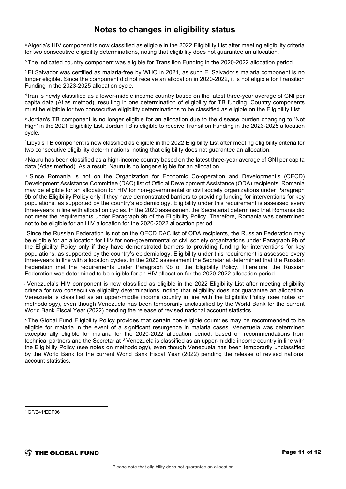## **Notes to changes in eligibility status**

a Algeria's HIV component is now classified as eligible in the 2022 Eligibility List after meeting eligibility criteria for two consecutive eligibility determinations, noting that eligibility does not guarantee an allocation.

b The indicated country component was eligible for Transition Funding in the 2020-2022 allocation period.

c El Salvador was certified as malaria-free by WHO in 2021, as such El Salvador's malaria component is no longer eligible. Since the component did not receive an allocation in 2020-2022, it is not eligible for Transition Funding in the 2023-2025 allocation cycle.

d Iran is newly classified as a lower-middle income country based on the latest three-year average of GNI per capita data (Atlas method), resulting in one determination of eligibility for TB funding. Country components must be eligible for two consecutive eligibility determinations to be classified as eligible on the Eligibility List.

e Jordan's TB component is no longer eligible for an allocation due to the disease burden changing to 'Not High' in the 2021 Eligibility List. Jordan TB is eligible to receive Transition Funding in the 2023-2025 allocation cycle.

f Libya's TB component is now classified as eligible in the 2022 Eligibility List after meeting eligibility criteria for two consecutive eligibility determinations, noting that eligibility does not guarantee an allocation.

g Nauru has been classified as a high-income country based on the latest three-year average of GNI per capita data (Atlas method). As a result, Nauru is no longer eligible for an allocation.

h Since Romania is not on the Organization for Economic Co-operation and Development's (OECD) Development Assistance Committee (DAC) list of Official Development Assistance (ODA) recipients, Romania may be eligible for an allocation for HIV for non-governmental or civil society organizations under Paragraph 9b of the Eligibility Policy only if they have demonstrated barriers to providing funding for interventions for key populations, as supported by the country's epidemiology. Eligibility under this requirement is assessed every three-years in line with allocation cycles. In the 2020 assessment the Secretariat determined that Romania did not meet the requirements under Paragraph 9b of the Eligibility Policy. Therefore, Romania was determined not to be eligible for an HIV allocation for the 2020-2022 allocation period.

i Since the Russian Federation is not on the OECD DAC list of ODA recipients, the Russian Federation may be eligible for an allocation for HIV for non-governmental or civil society organizations under Paragraph 9b of the Eligibility Policy only if they have demonstrated barriers to providing funding for interventions for key populations, as supported by the country's epidemiology. Eligibility under this requirement is assessed every three-years in line with allocation cycles. In the 2020 assessment the Secretariat determined that the Russian Federation met the requirements under Paragraph 9b of the Eligibility Policy. Therefore, the Russian Federation was determined to be eligible for an HIV allocation for the 2020-2022 allocation period.

j Venezuela's HIV component is now classified as eligible in the 2022 Eligibility List after meeting eligibility criteria for two consecutive eligibility determinations, noting that eligibility does not guarantee an allocation. Venezuela is classified as an upper-middle income country in line with the Eligibility Policy (see notes on methodology), even though Venezuela has been temporarily unclassified by the World Bank for the current World Bank Fiscal Year (2022) pending the release of revised national account statistics.

k The Global Fund Eligibility Policy provides that certain non-eligible countries may be recommended to be eligible for malaria in the event of a significant resurgence in malaria cases. Venezuela was determined exceptionally eligible for malaria for the 2020-2022 allocation period, based on recommendations from technical partners and the Secretariat <sup>[6](#page-10-0)</sup> Venezuela is classified as an upper-middle income country in line with the Eligibility Policy (see notes on methodology), even though Venezuela has been temporarily unclassified by the World Bank for the current World Bank Fiscal Year (2022) pending the release of revised national account statistics.

<span id="page-10-0"></span><sup>6</sup> GF/B41/EDP06

 $\mathcal{L}$  THE GLOBAL FUND